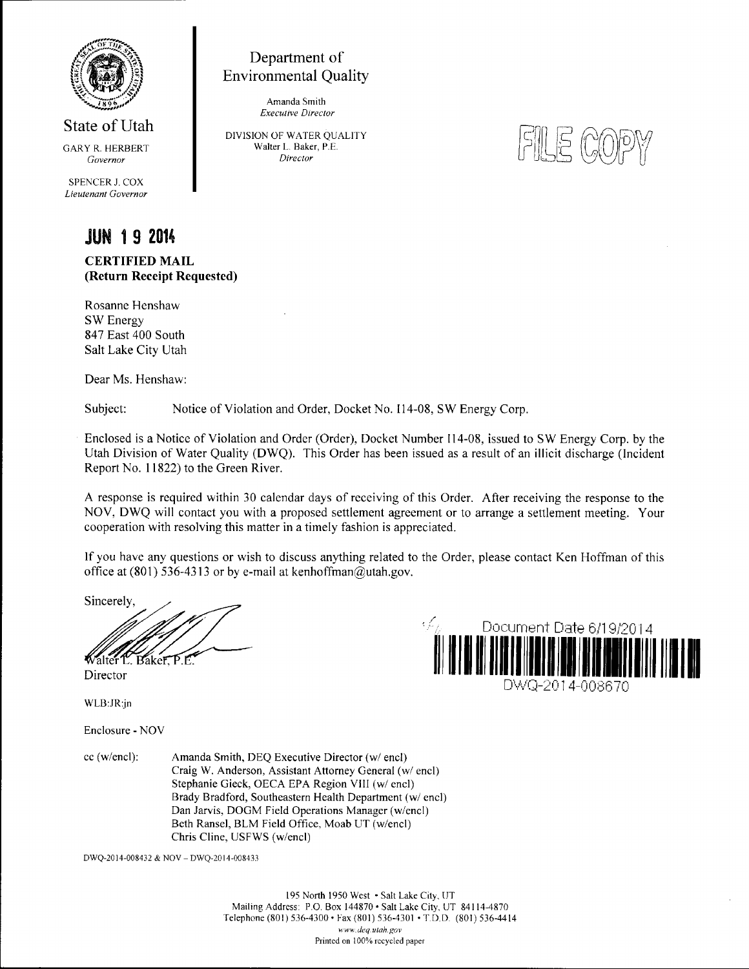

**Environmental Quality** 

*Amanda Smith Executive Director* 

**Department of** 

*DIVISION OF WATER QUALITY Walter L. Baker, P.E. Director* 



*SPENCER J. COX Lieutenant Governor* 

**State of Utah**  GARY R. HERBERT Governor

# **JUN 1 9<sup>2014</sup>**

**CERTIFIED MAIL (Return Receipt Requested)** 

Rosanne Henshaw SW Energy 847 East 400 South Salt Lake City Utah

Dear Ms. Henshaw:

Subject: Notice of Violation and Order, Docket No. 114-08, SW Energy Corp.

Enclosed is a Notice of Violation and Order (Order), Docket Number 114-08, issued to SW Energy Corp. by the Utah Division of Water Quality (DWQ). This Order has been issued as a result of an illicit discharge (Incident Report No. 11822) to the Green River.

A response is required within 30 calendar days of receiving of this Order. After receiving the response to the NOV, DWQ will contact you with a proposed settlement agreement or to arrange a settlement meeting. Your cooperation with resolving this matter in a timely fashion is appreciated.

lf you have any questions or wish to discuss anything related to the Order, please contact Ken Hoffman of this office at (801) 536-4313 or by e-mail at kenhoffman@utah.gov.

Sincerely Bakef. P.E.

Director

WLB:JR:jn

Enclosure - NOV

cc (w/encl): Amanda Smith, DEQ Executive Director (w/ encl) Craig W. Anderson, Assistant Attorney General (w/ encl) Stephanie Gieck, OECA EPA Region VIII (w/ encl) Brady Bradford, Southeastern Health Department (w/ encl) Dan Jarvis, DOGM Field Operations Manager (w/encl) Beth Ransel, BLM Field Office, Moab UT (w/encl) Chris Cline, USFWS (w/encl)

DWQ-2014-008432 & NOV - DWQ-2014-008433

195 North 1950 West • Salt Lake City, UT Mailing Address: P.O. Box 144870 • Salt Lake City, UT 84114-4870 Telephone (801) 536-4300 • Fax (801) 536-4301 • T.D.D. (801) 536-4414 www.deq.Utah.gov Printed on 100% recycled paper

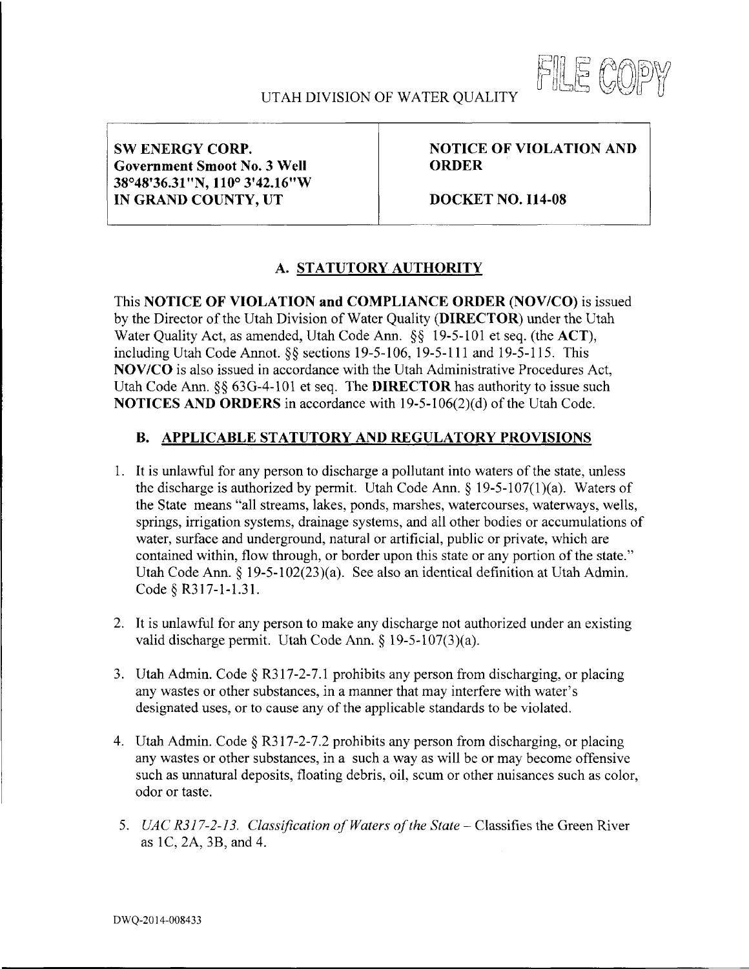

**SW ENERGY CORP. Government Smoot No. 3 Well 38<sup>0</sup> 48'36.31"N, 110° 3'42.16"W IN GRAND COUNTY, UT** 

## **NOTICE OF VIOLATION AND ORDER**

**DOCKET NO. 114-08** 

# **A. STATUTORY AUTHORITY**

This NOTICE OF VIOLATION and COMPLIANCE ORDER (NOV/CO) is issued by the Director of the Utah Division of Water Quality (DIRECTOR) under the Utah Water Quality Act, as amended, Utah Code Ann. §§ 19-5-101 et seq. (the ACT), including Utah Code Annot. §§ sections 19-5-106, 19-5-111 and 19-5-115. This NOV/CO is also issued in accordance with the Utah Administrative Procedures Act, Utah Code Ann. §§ 63G-4-101 et seq. The **DIRECTOR** has authority to issue such NOTICES AND ORDERS in accordance with 19-5-106(2)(d) of the Utah Code.

## **B. APPLICABLE STATUTORY AND REGULATORY PROVISIONS**

- 1. It is unlawful for any person to discharge a pollutant into waters of the state, unless the discharge is authorized by permit. Utah Code Ann.  $\S$  19-5-107(1)(a). Waters of the State means "all streams, lakes, ponds, marshes, watercourses, waterways, wells, springs, irrigation systems, drainage systems, and all other bodies or accumulations of water, surface and underground, natural or artificial, public or private, which are contained within, flow through, or border upon this state or any portion of the state." Utah Code Ann. § 19-5-102(23)(a). See also an identical definition at Utah Admin. Code§R317-l-1.31.
- 2. It is unlawful for any person to make any discharge not authorized under an existing valid discharge permit. Utah Code Ann. § 19-5-107(3)(a).
- 3. Utah Admin. Code § R317-2-7.1 prohibits any person from discharging, or placing any wastes or other substances, in a manner that may interfere with water's designated uses, or to cause any of the applicable standards to be violated.
- 4. Utah Admin. Code § R317-2-7.2 prohibits any person from discharging, or placing any wastes or other substances, in a such a way as will be or may become offensive such as unnatural deposits, floating debris, oil, scum or other nuisances such as color, odor or taste.
- 5. UAC R317-2-13. Classification of Waters of the State Classifies the Green River as IC, 2A, 3B, and 4.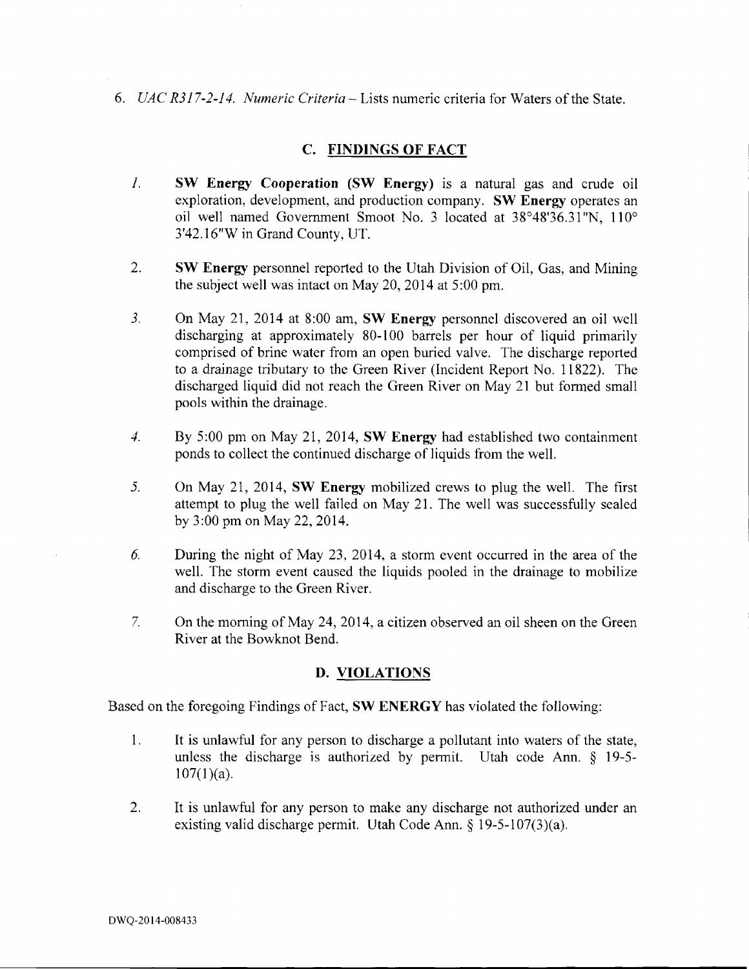6. UAC  $R317-2-14$ . Numeric Criteria – Lists numeric criteria for Waters of the State.

### **C. FINDINGS OF FACT**

- 1. SW Energy Cooperation (SW Energy) is a natural gas and crude oil exploration, development, and production company. SW Energy operates an oil well named Government Smoot No. 3 located at  $38^{\circ}48'36.31''N$ ,  $110^{\circ}$ 3'42.16"W in Grand County, UT.
- 2. SW Energy personnel reported to the Utah Division of Oil, Gas, and Mining the subject well was intact on May 20, 2014 at 5:00 pm.
- 3. On May 21, 2014 at 8:00 am, SW Energy personnel discovered an oil well discharging at approximately 80-100 barrels per hour of liquid primarily comprised of brine water from an open buried valve. The discharge reported to a drainage tributary to the Green River (Incident Report No. 11822). The discharged liquid did not reach the Green River on May 21 but formed small pools within the drainage.
- 4. By 5:00 pm on May 21, 2014, SW Energy had established two containment ponds to collect the continued discharge of liquids from the well.
- 5. On May 21, 2014, SW Energy mobilized crews to plug the well. The first attempt to plug the well failed on May 21. The well was successfully sealed by 3:00 pm on May 22, 2014.
- 6. During the night of May 23, 2014, a storm event occurred in the area of the well. The storm event caused the liquids pooled in the drainage to mobilize and discharge to the Green River.
- 7. On the morning of May 24, 2014, a citizen observed an oil sheen on the Green River at the Bowknot Bend.

#### **D. VIOLATIONS**

Based on the foregoing Findings of Fact, SW ENERGY has violated the following:

- 1. It is unlawful for any person to discharge a pollutant into waters of the state, unless the discharge is authorized by permit. Utah code Ann. § 19-5-  $107(1)(a)$ .
- 2. It is unlawful for any person to make any discharge not authorized under an existing valid discharge permit. Utah Code Ann. § 19-5-107(3)(a).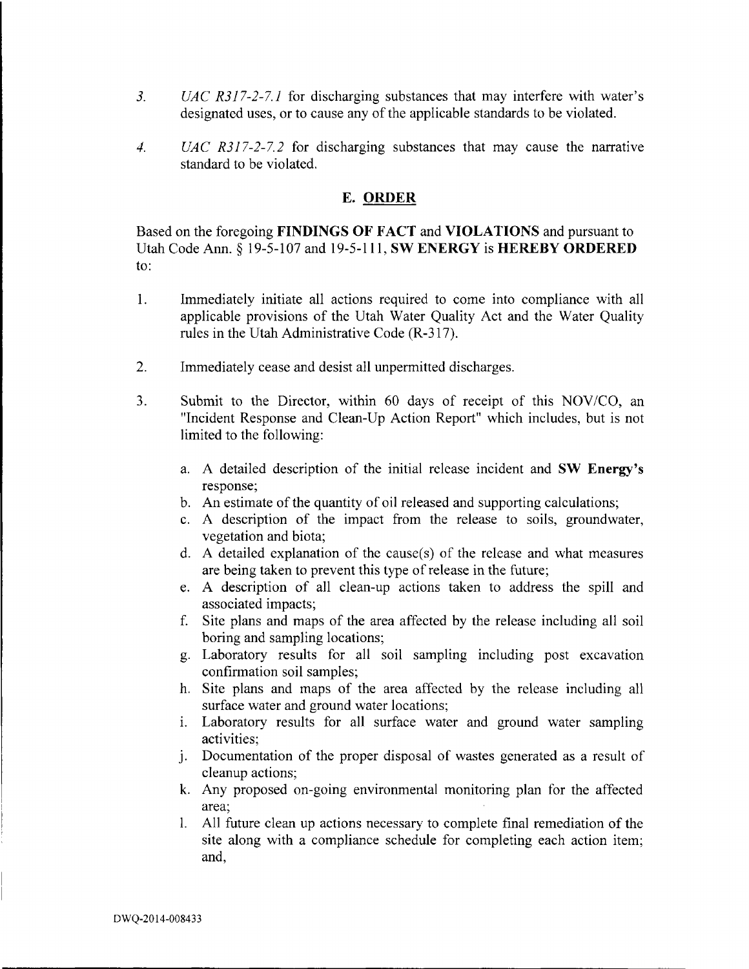- 3. UAC R317-2-7.1 for discharging substances that may interfere with water's designated uses, or to cause any of the applicable standards to be violated.
- 4. UAC R317-2-7.2 for discharging substances that may cause the narrative standard to be violated.

#### **E. ORDER**

**Based on the foregoing FINDINGS OF FACT and VIOLATIONS and pursuant to Utah Code Ann. § 19-5-107 and 19-5-111, SW ENERGY is HEREBY ORDERED to:** 

- 1. Immediately initiate all actions required to come into compliance with all applicable provisions of the Utah Water Quality Act and the Water Quality rules in the Utah Administrative Code (R-317).
- 2. Immediately cease and desist all unpermitted discharges.
- 3. Submit to the Director, within 60 days of receipt of this NOV/CO, an "Incident Response and Clean-Up Action Report" which includes, but is not limited to the following:
	- a. A detailed description of the initial release incident and SW Energy's response;
	- b. An estimate of the quantity of oil released and supporting calculations;
	- c. A description of the impact from the release to soils, groundwater, vegetation and biota;
	- d. A detailed explanation of the cause(s) of the release and what measures are being taken to prevent this type of release in the future;
	- e. A description of all clean-up actions taken to address the spill and associated impacts;
	- f. Site plans and maps of the area affected by the release including all soil boring and sampling locations;
	- g. Laboratory results for all soil sampling including post excavation confirmation soil samples;
	- h. Site plans and maps of the area affected by the release including all surface water and ground water locations;
	- i. Laboratory results for all surface water and ground water sampling activities;
	- j. Documentation of the proper disposal of wastes generated as a result of cleanup actions;
	- k. Any proposed on-going environmental monitoring plan for the affected area;
	- 1. All future clean up actions necessary to complete final remediation of the site along with a compliance schedule for completing each action item; and,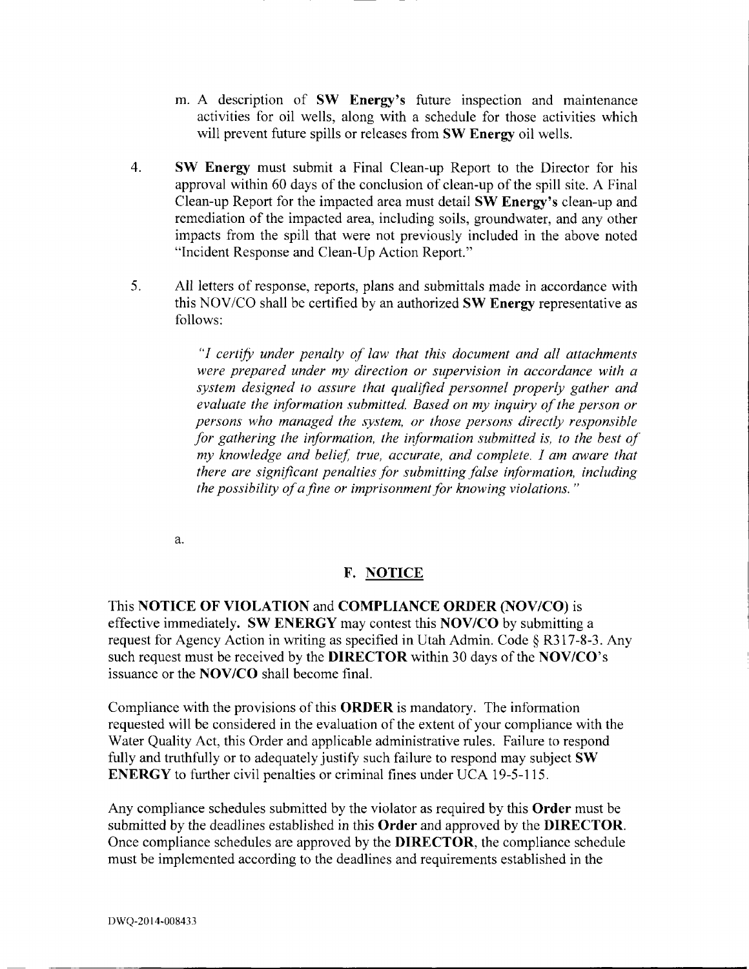- m. A description of SW Energy's future inspection and maintenance activities for oil wells, along with a schedule for those activities which will prevent future spills or releases from SW Energy oil wells.
- 4. SW Energy must submit a Final Clean-up Report to the Director for his approval within 60 days of the conclusion of clean-up of the spill site. A Final Clean-up Report for the impacted area must detail SW Energy's clean-up and remediation of the impacted area, including soils, groundwater, and any other impacts from the spill that were not previously included in the above noted "Incident Response and Clean-Up Action Report."
- 5. All letters of response, reports, plans and submittals made in accordance with this NOV/CO shall be certified by an authorized SW Energy representative as follows:

*"I certify under penalty of law that this document and all attachments were prepared under my direction or supervision in accordance with a system designed to assure that qualified personnel properly gather and evaluate the information submitted. Based on my inquiry of the person or persons who managed the system, or those persons directly responsible*  for gathering the information, the information submitted is, to the best of *my knowledge and belief true, accurate, and complete. I am aware that there are significant penalties for submitting false information, including the possibility of a fine or imprisonment for knowing violations. "* 

a.

#### **F. NOTICE**

This **NOTICE OF VIOLATION** and **COMPLIANCE ORDER (NOV/CO)** is effective immediately. SW ENERGY may contest this **NOV/CO** by submitting a request for Agency Action in writing as specified in Utah Admin. Code  $\S$  R317-8-3. Any request for Agency Action in writing as specified in Utah Admin. Code § R317-8-3. Any such request must be received by the DIRECTOR within 30 days of the NOV/CO's issuance or the NOV/CO shall become final.

Compliance with the provisions of this ORDER is mandatory. The information requested will be considered in the evaluation of the extent of your compliance with the Water Quality Act, this Order and applicable administrative rules. Failure to respond fully and truthfully or to adequately justify such failure to respond may subject SW ENERGY to further civil penalties or criminal fines under UCA 19-5-115.

Any compliance schedules submitted by the violator as required by this **Order** must be submitted by the deadlines established in this **Order** and approved by the **DIRECTOR**. Once compliance schedules are approved by the DIRECTOR, the compliance schedule must be implemented according to the deadlines and requirements established in the